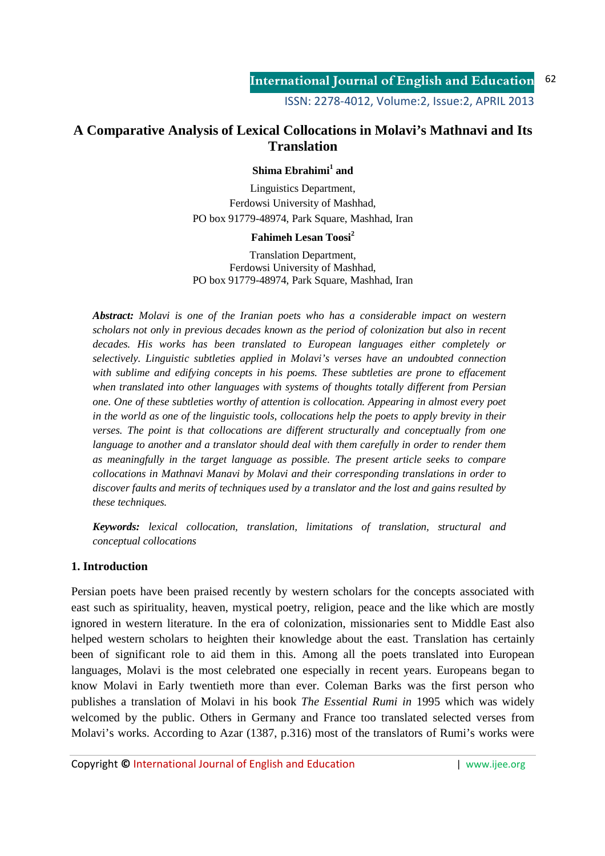### **A Comparative Analysis of Lexical Collocations in Molavi's Mathnavi and Its Translation**

#### **Shima Ebrahimi<sup>1</sup> and**

Linguistics Department, Ferdowsi University of Mashhad, PO box 91779-48974, Park Square, Mashhad, Iran

#### **Fahimeh Lesan Toosi<sup>2</sup>**

Translation Department, Ferdowsi University of Mashhad, PO box 91779-48974, Park Square, Mashhad, Iran

*Abstract: Molavi is one of the Iranian poets who has a considerable impact on western scholars not only in previous decades known as the period of colonization but also in recent decades. His works has been translated to European languages either completely or selectively. Linguistic subtleties applied in Molavi's verses have an undoubted connection with sublime and edifying concepts in his poems. These subtleties are prone to effacement when translated into other languages with systems of thoughts totally different from Persian one. One of these subtleties worthy of attention is collocation. Appearing in almost every poet in the world as one of the linguistic tools, collocations help the poets to apply brevity in their verses. The point is that collocations are different structurally and conceptually from one language to another and a translator should deal with them carefully in order to render them as meaningfully in the target language as possible. The present article seeks to compare collocations in Mathnavi Manavi by Molavi and their corresponding translations in order to discover faults and merits of techniques used by a translator and the lost and gains resulted by these techniques.* 

*Keywords: lexical collocation, translation, limitations of translation, structural and conceptual collocations* 

#### **1. Introduction**

Persian poets have been praised recently by western scholars for the concepts associated with east such as spirituality, heaven, mystical poetry, religion, peace and the like which are mostly ignored in western literature. In the era of colonization, missionaries sent to Middle East also helped western scholars to heighten their knowledge about the east. Translation has certainly been of significant role to aid them in this. Among all the poets translated into European languages, Molavi is the most celebrated one especially in recent years. Europeans began to know Molavi in Early twentieth more than ever. Coleman Barks was the first person who publishes a translation of Molavi in his book *The Essential Rumi in* 1995 which was widely welcomed by the public. Others in Germany and France too translated selected verses from Molavi's works. According to Azar (1387, p.316) most of the translators of Rumi's works were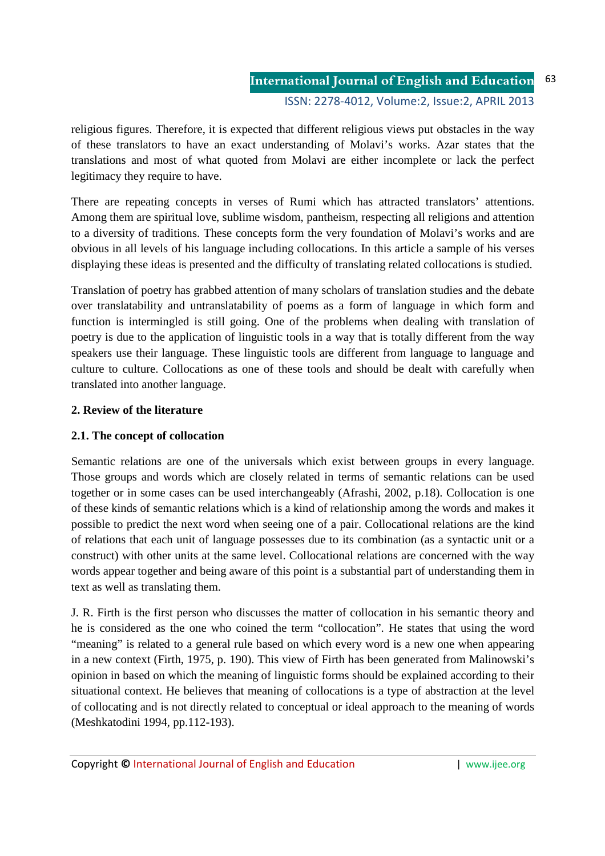religious figures. Therefore, it is expected that different religious views put obstacles in the way of these translators to have an exact understanding of Molavi's works. Azar states that the translations and most of what quoted from Molavi are either incomplete or lack the perfect legitimacy they require to have.

There are repeating concepts in verses of Rumi which has attracted translators' attentions. Among them are spiritual love, sublime wisdom, pantheism, respecting all religions and attention to a diversity of traditions. These concepts form the very foundation of Molavi's works and are obvious in all levels of his language including collocations. In this article a sample of his verses displaying these ideas is presented and the difficulty of translating related collocations is studied.

Translation of poetry has grabbed attention of many scholars of translation studies and the debate over translatability and untranslatability of poems as a form of language in which form and function is intermingled is still going. One of the problems when dealing with translation of poetry is due to the application of linguistic tools in a way that is totally different from the way speakers use their language. These linguistic tools are different from language to language and culture to culture. Collocations as one of these tools and should be dealt with carefully when translated into another language.

# **2. Review of the literature**

# **2.1. The concept of collocation**

Semantic relations are one of the universals which exist between groups in every language. Those groups and words which are closely related in terms of semantic relations can be used together or in some cases can be used interchangeably (Afrashi, 2002, p.18). Collocation is one of these kinds of semantic relations which is a kind of relationship among the words and makes it possible to predict the next word when seeing one of a pair. Collocational relations are the kind of relations that each unit of language possesses due to its combination (as a syntactic unit or a construct) with other units at the same level. Collocational relations are concerned with the way words appear together and being aware of this point is a substantial part of understanding them in text as well as translating them.

J. R. Firth is the first person who discusses the matter of collocation in his semantic theory and he is considered as the one who coined the term "collocation". He states that using the word "meaning" is related to a general rule based on which every word is a new one when appearing in a new context (Firth, 1975, p. 190). This view of Firth has been generated from Malinowski's opinion in based on which the meaning of linguistic forms should be explained according to their situational context. He believes that meaning of collocations is a type of abstraction at the level of collocating and is not directly related to conceptual or ideal approach to the meaning of words (Meshkatodini 1994, pp.112-193).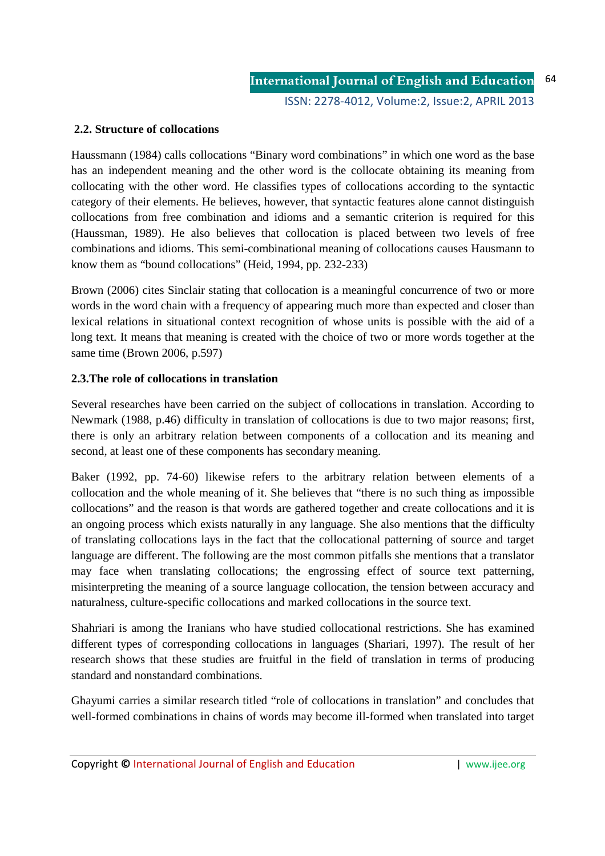### **2.2. Structure of collocations**

Haussmann (1984) calls collocations "Binary word combinations" in which one word as the base has an independent meaning and the other word is the collocate obtaining its meaning from collocating with the other word. He classifies types of collocations according to the syntactic category of their elements. He believes, however, that syntactic features alone cannot distinguish collocations from free combination and idioms and a semantic criterion is required for this (Haussman, 1989). He also believes that collocation is placed between two levels of free combinations and idioms. This semi-combinational meaning of collocations causes Hausmann to know them as "bound collocations" (Heid, 1994, pp. 232-233)

Brown (2006) cites Sinclair stating that collocation is a meaningful concurrence of two or more words in the word chain with a frequency of appearing much more than expected and closer than lexical relations in situational context recognition of whose units is possible with the aid of a long text. It means that meaning is created with the choice of two or more words together at the same time (Brown 2006, p.597)

#### **2.3.The role of collocations in translation**

Several researches have been carried on the subject of collocations in translation. According to Newmark (1988, p.46) difficulty in translation of collocations is due to two major reasons; first, there is only an arbitrary relation between components of a collocation and its meaning and second, at least one of these components has secondary meaning.

Baker (1992, pp. 74-60) likewise refers to the arbitrary relation between elements of a collocation and the whole meaning of it. She believes that "there is no such thing as impossible collocations" and the reason is that words are gathered together and create collocations and it is an ongoing process which exists naturally in any language. She also mentions that the difficulty of translating collocations lays in the fact that the collocational patterning of source and target language are different. The following are the most common pitfalls she mentions that a translator may face when translating collocations; the engrossing effect of source text patterning, misinterpreting the meaning of a source language collocation, the tension between accuracy and naturalness, culture-specific collocations and marked collocations in the source text.

Shahriari is among the Iranians who have studied collocational restrictions. She has examined different types of corresponding collocations in languages (Shariari, 1997). The result of her research shows that these studies are fruitful in the field of translation in terms of producing standard and nonstandard combinations.

Ghayumi carries a similar research titled "role of collocations in translation" and concludes that well-formed combinations in chains of words may become ill-formed when translated into target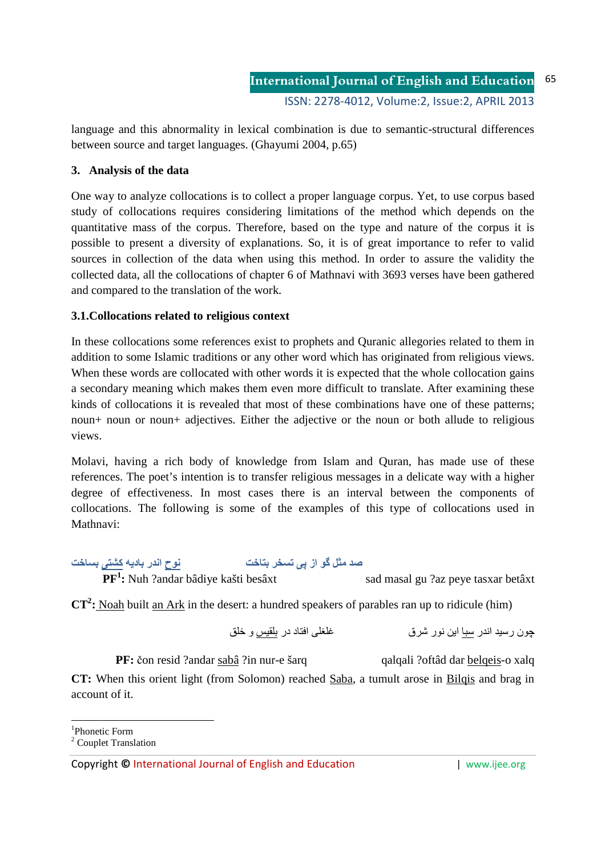language and this abnormality in lexical combination is due to semantic-structural differences between source and target languages. (Ghayumi 2004, p.65)

### **3. Analysis of the data**

One way to analyze collocations is to collect a proper language corpus. Yet, to use corpus based study of collocations requires considering limitations of the method which depends on the quantitative mass of the corpus. Therefore, based on the type and nature of the corpus it is possible to present a diversity of explanations. So, it is of great importance to refer to valid sources in collection of the data when using this method. In order to assure the validity the collected data, all the collocations of chapter 6 of Mathnavi with 3693 verses have been gathered and compared to the translation of the work.

### **3.1.Collocations related to religious context**

In these collocations some references exist to prophets and Quranic allegories related to them in addition to some Islamic traditions or any other word which has originated from religious views. When these words are collocated with other words it is expected that the whole collocation gains a secondary meaning which makes them even more difficult to translate. After examining these kinds of collocations it is revealed that most of these combinations have one of these patterns; noun+ noun or noun+ adjectives. Either the adjective or the noun or both allude to religious views.

Molavi, having a rich body of knowledge from Islam and Quran, has made use of these references. The poet's intention is to transfer religious messages in a delicate way with a higher degree of effectiveness. In most cases there is an interval between the components of collocations. The following is some of the examples of this type of collocations used in Mathnavi:

صد مثل گو از ی*ی* تسخر بتاخت  **ح ار د -**

**PF<sup>1</sup> :** Nuh ?andar bâdiye kašti besâxt sad masal gu ?az peye tasxar betâxt

**CT<sup>2</sup>**: Noah built an Ark in the desert: a hundred speakers of parables ran up to ridicule (him)

 ن ر ار  ا ر ق اد در و

**PF:** čon resid ?andar sabâ ?in nur-e šarq qalqali ?oftâd dar belqeis-o xalq

**CT:** When this orient light (from Solomon) reached Saba, a tumult arose in Bilqis and brag in account of it.

<sup>-</sup>1 Phonetic Form

<sup>&</sup>lt;sup>2</sup> Couplet Translation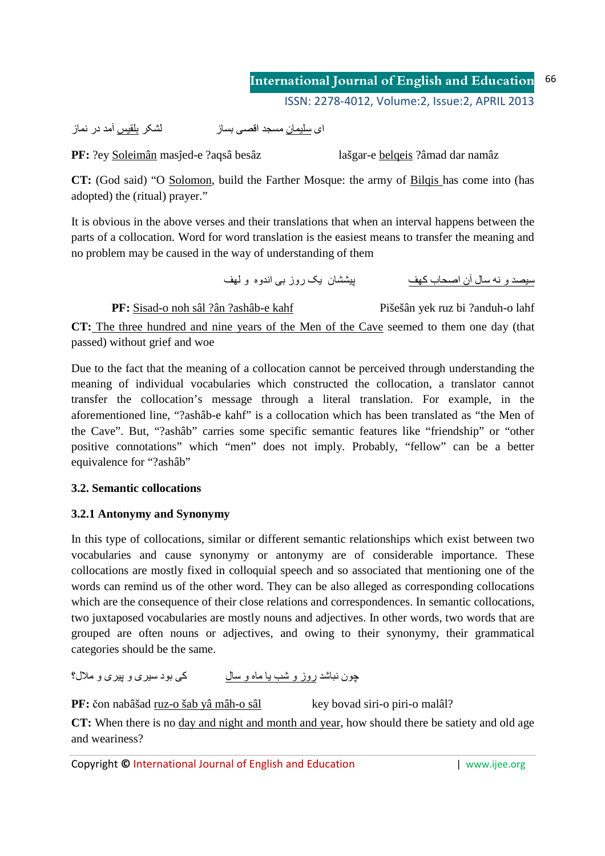#### **International Journal of English and Education** 66

ISSN: 2278-4012. Volume: 2. Issue: 2. APRIL 2013

لشكر بلقيس آمد در نماز اي سليمان مسجد اقصبي بساز

PF: ?ey Soleimân masîed-e ?aqsâ besâz

lašgar-e belgeis ?âmad dar namâz

CT: (God said) "O Solomon, build the Farther Mosque: the army of Bilgis has come into (has adopted) the (ritual) prayer."

It is obvious in the above verses and their translations that when an interval happens between the parts of a collocation. Word for word translation is the easiest means to transfer the meaning and no problem may be caused in the way of understanding of them

سيصدو نه سال آن اصحاب كهف مستخدم بيششان يك روز بي اندوه و لهف

PF: Sisad-o noh sâl ?ân ?ashâb-e kahf Pišešân vek ruz bi ?anduh-o lahf CT: The three hundred and nine years of the Men of the Cave seemed to them one day (that passed) without grief and woe

Due to the fact that the meaning of a collocation cannot be perceived through understanding the meaning of individual vocabularies which constructed the collocation, a translator cannot transfer the collocation's message through a literal translation. For example, in the aforementioned line, "?ashâb-e kahf" is a collocation which has been translated as "the Men of the Cave". But, "?ashab" carries some specific semantic features like "friendship" or "other positive connotations" which "men" does not imply. Probably, "fellow" can be a better equivalence for "?ashâb"

# 3.2. Semantic collocations

# 3.2.1 Antonymy and Synonymy

In this type of collocations, similar or different semantic relationships which exist between two vocabularies and cause synonymy or antonymy are of considerable importance. These collocations are mostly fixed in colloquial speech and so associated that mentioning one of the words can remind us of the other word. They can be also alleged as corresponding collocations which are the consequence of their close relations and correspondences. In semantic collocations, two juxtaposed vocabularies are mostly nouns and adjectives. In other words, two words that are grouped are often nouns or adjectives, and owing to their synonymy, their grammatical categories should be the same.

جون نباشد روز و شب یا ماه و سال کے بود سیر ی و بیر ی و ملال؟

PF: čon nabâšad ruz-o šab yâ mâh-o sâl key bovad siri-o piri-o malâl?

CT: When there is no day and night and month and year, how should there be satiety and old age and weariness?

Copyright © International Journal of English and Education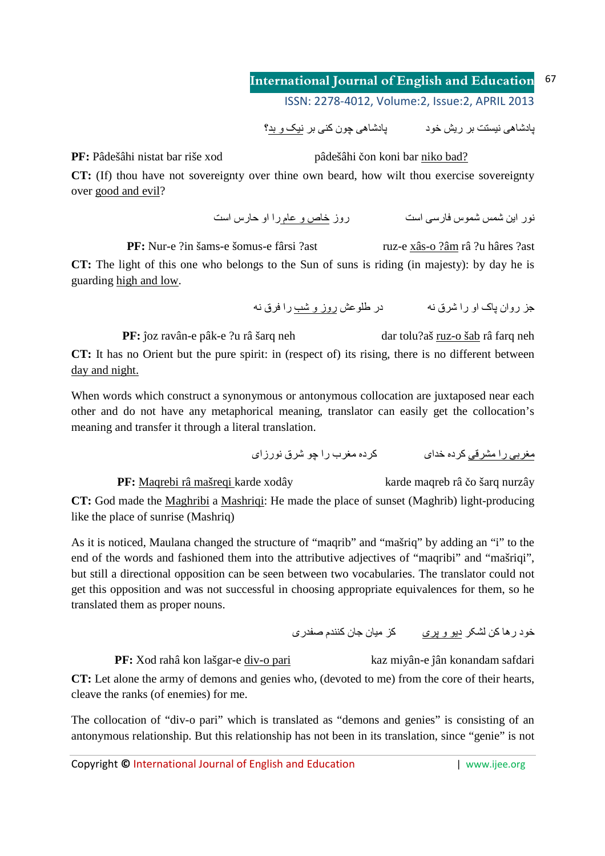پادشاهی نیستت بر ریش خود پادشاهی چون کنی بر نیک و بد؟

**PF:** Pâdešâhi nistat bar riše xod pâdešâhi čon koni bar niko bad?

**CT:** (If) thou have not sovereignty over thine own beard, how wilt thou exercise sovereignty over good and evil?

نور این شمس شموس فارسی است مستندر و زخاص و عام را او حارس است

**PF:** Nur-e ?in šams-e šomus-e fârsi ?ast ruz-e xâs-o ?âm râ ?u hâres ?ast **CT:** The light of this one who belongs to the Sun of suns is riding (in majesty): by day he is guarding high and low.

جز روان پاک او را شرق نه مسلم در طلوعش روز و شب را فرق نه

**PF:** ĵoz ravân-e pâk-e ?u râ šarq neh dar tolu?aš ruz-o šab râ farq neh **CT:** It has no Orient but the pure spirit: in (respect of) its rising, there is no different between day and night.

When words which construct a synonymous or antonymous collocation are juxtaposed near each other and do not have any metaphorical meaning, translator can easily get the collocation's meaning and transfer it through a literal translation.

<u>مغربی را مشرقی</u> کرده خدای کرده مغرب را چو شرق نورزای

**PF:** Maqrebi râ mašreqi karde xodây karde maqreb râ čo šarq nurzây **CT:** God made the Maghribi a Mashriqi: He made the place of sunset (Maghrib) light-producing like the place of sunrise (Mashriq)

As it is noticed, Maulana changed the structure of "maqrib" and "mašriq" by adding an "i" to the end of the words and fashioned them into the attributive adjectives of "maqribi" and "mašriqi", but still a directional opposition can be seen between two vocabularies. The translator could not get this opposition and was not successful in choosing appropriate equivalences for them, so he translated them as proper nouns.

خود رہا کن لشکر دیو و پری کز میان جان کنندم صفدری

**PF:** Xod rahâ kon lašgar-e div-o pari kaz miyân-e jân konandam safdari **CT:** Let alone the army of demons and genies who, (devoted to me) from the core of their hearts, cleave the ranks (of enemies) for me.

The collocation of "div-o pari" which is translated as "demons and genies" is consisting of an antonymous relationship. But this relationship has not been in its translation, since "genie" is not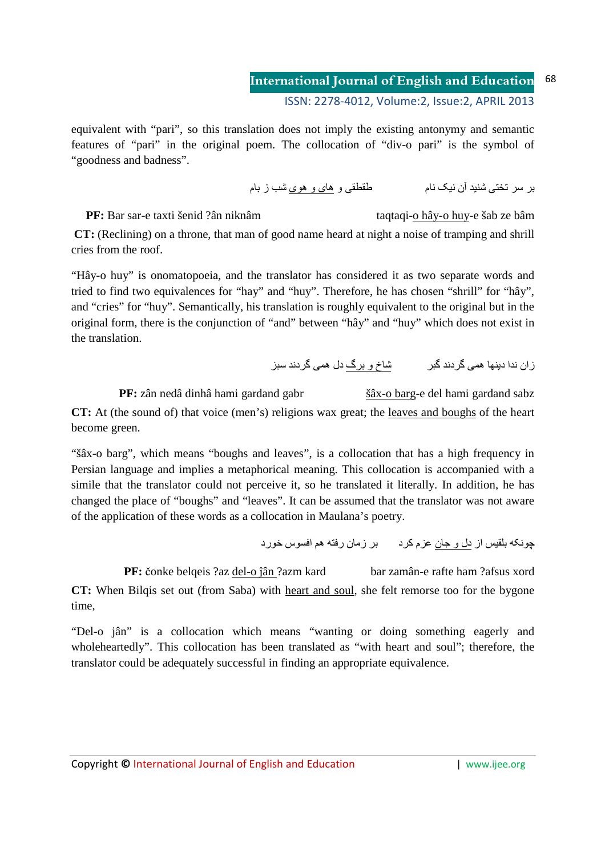equivalent with "pari", so this translation does not imply the existing antonymy and semantic features of "pari" in the original poem. The collocation of "div-o pari" is the symbol of "goodness and badness".

بر سر تختے، شنبد آن نبک نام مسلم نے است ملقطقے، و ھای و ھو ی شب ز بام

**PF:** Bar sar-e taxti šenid ?ân niknâm taqtaqi-o hây-o huy-e šab ze bâm

**CT:** (Reclining) on a throne, that man of good name heard at night a noise of tramping and shrill cries from the roof.

"Hây-o huy" is onomatopoeia, and the translator has considered it as two separate words and tried to find two equivalences for "hay" and "huy". Therefore, he has chosen "shrill" for "hây", and "cries" for "huy". Semantically, his translation is roughly equivalent to the original but in the original form, there is the conjunction of "and" between "hây" and "huy" which does not exist in the translation.

ز ان ندا دبنھا ھمی گر دند گیر ہے ۔ شاخ و پر گ دل ھمی گر دند سبز

**PF:** zân nedâ dinhâ hami gardand gabr šâx-o barg-e del hami gardand sabz **CT:** At (the sound of) that voice (men's) religions wax great; the leaves and boughs of the heart become green.

"šâx-o barg", which means "boughs and leaves", is a collocation that has a high frequency in Persian language and implies a metaphorical meaning. This collocation is accompanied with a simile that the translator could not perceive it, so he translated it literally. In addition, he has changed the place of "boughs" and "leaves". It can be assumed that the translator was not aware of the application of these words as a collocation in Maulana's poetry.

چونکه بلقیس از <u>دل و جان</u> عزم کرد بر زمان رفته هم افسوس خورد

**PF:** čonke belqeis ?az del-o ĵân ?azm kard bar zamân-e rafte ham ?afsus xord **CT:** When Bilqis set out (from Saba) with heart and soul, she felt remorse too for the bygone time,

"Del-o jân" is a collocation which means "wanting or doing something eagerly and wholeheartedly". This collocation has been translated as "with heart and soul"; therefore, the translator could be adequately successful in finding an appropriate equivalence.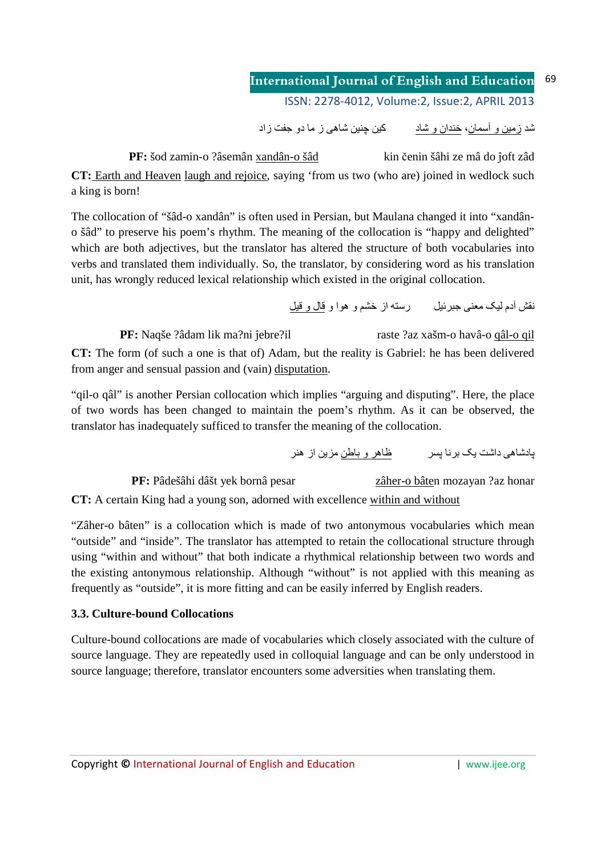شد <u>زمین و أسمان</u>، <u>خندان و شاد</u> کین چنین شاهی ز ما دو جفت زاد

**PF:** šod zamin-o ?âsemân xandân-o šâd kin čenin šâhi ze mâ do ĵoft zâd **CT:** Earth and Heaven laugh and rejoice, saying 'from us two (who are) joined in wedlock such a king is born!

The collocation of "šâd-o xandân" is often used in Persian, but Maulana changed it into "xandâno šâd" to preserve his poem's rhythm. The meaning of the collocation is "happy and delighted" which are both adjectives, but the translator has altered the structure of both vocabularies into verbs and translated them individually. So, the translator, by considering word as his translation unit, has wrongly reduced lexical relationship which existed in the original collocation.

نقش أدم ليک معنى جبرئيل رسته از خشم و هوا و قال و قيل

**PF:** Naqše ?âdam lik ma?ni ĵebre?il raste ?az xašm-o havâ-o qâl-o qil **CT:** The form (of such a one is that of) Adam, but the reality is Gabriel: he has been delivered from anger and sensual passion and (vain) disputation.

"qil-o qâl" is another Persian collocation which implies "arguing and disputing". Here, the place of two words has been changed to maintain the poem's rhythm. As it can be observed, the translator has inadequately sufficed to transfer the meaning of the collocation.

پادشاهی داشت یک برنا پسر ظاهر و باطن مزین از هنر

**PF:** Pâdešâhi dâšt yek bornâ pesar zâher-o bâten mozayan ?az honar **CT:** A certain King had a young son, adorned with excellence within and without

"Zâher-o bâten" is a collocation which is made of two antonymous vocabularies which mean "outside" and "inside". The translator has attempted to retain the collocational structure through using "within and without" that both indicate a rhythmical relationship between two words and the existing antonymous relationship. Although "without" is not applied with this meaning as frequently as "outside", it is more fitting and can be easily inferred by English readers.

# **3.3. Culture-bound Collocations**

Culture-bound collocations are made of vocabularies which closely associated with the culture of source language. They are repeatedly used in colloquial language and can be only understood in source language; therefore, translator encounters some adversities when translating them.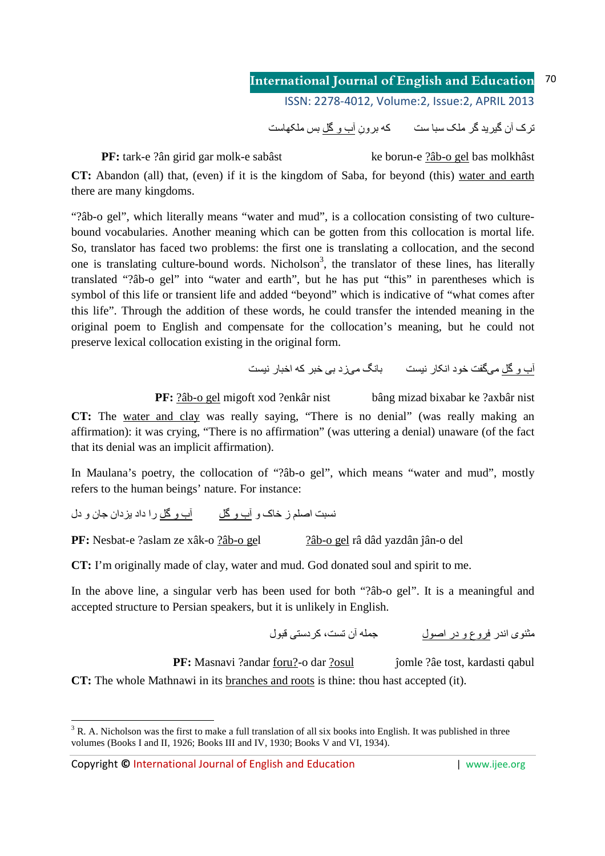تر ک آن گیر ید گر ملک سبا ست که بر و ن آب و گل بس ملکھاست

**PF:** tark-e ?ân girid gar molk-e sabâst ke borun-e ?âb-o gel bas molkhâst **CT:** Abandon (all) that, (even) if it is the kingdom of Saba, for beyond (this) water and earth there are many kingdoms.

"?âb-o gel", which literally means "water and mud", is a collocation consisting of two culturebound vocabularies. Another meaning which can be gotten from this collocation is mortal life. So, translator has faced two problems: the first one is translating a collocation, and the second one is translating culture-bound words. Nicholson<sup>3</sup>, the translator of these lines, has literally translated "?âb-o gel" into "water and earth", but he has put "this" in parentheses which is symbol of this life or transient life and added "beyond" which is indicative of "what comes after this life". Through the addition of these words, he could transfer the intended meaning in the original poem to English and compensate for the collocation's meaning, but he could not preserve lexical collocation existing in the original form.

آب و كُل ميگفت خود انكار نيست بانگ ميزد بي خبر كه اخبار نيست

**PF:** ?âb-o gel migoft xod ?enkâr nist bâng mizad bixabar ke ?axbâr nist **CT:** The water and clay was really saying, "There is no denial" (was really making an affirmation): it was crying, "There is no affirmation" (was uttering a denial) unaware (of the fact that its denial was an implicit affirmation).

In Maulana's poetry, the collocation of "?âb-o gel", which means "water and mud", mostly refers to the human beings' nature. For instance:

نسبت اصلم ز خاک و آب و گل این و کل را داد بزدان جان و دل

**PF:** Nesbat-e ?aslam ze xâk-o ?âb-o gel ?âb-o gel râ dâd yazdân ĵân-o del

**CT:** I'm originally made of clay, water and mud. God donated soul and spirit to me.

In the above line, a singular verb has been used for both "?âb-o gel". It is a meaningful and accepted structure to Persian speakers, but it is unlikely in English.

مثنوی اندر فروع و در اصول مسلم این ست، کر دستی قبول

**PF:** Masnavi ?andar foru?-o dar ?osul jomle ?âe tost, kardasti qabul **CT:** The whole Mathnawi in its branches and roots is thine: thou hast accepted (it).

<sup>-</sup> $3$  R. A. Nicholson was the first to make a full translation of all six books into English. It was published in three volumes (Books I and II, 1926; Books III and IV, 1930; Books V and VI, 1934).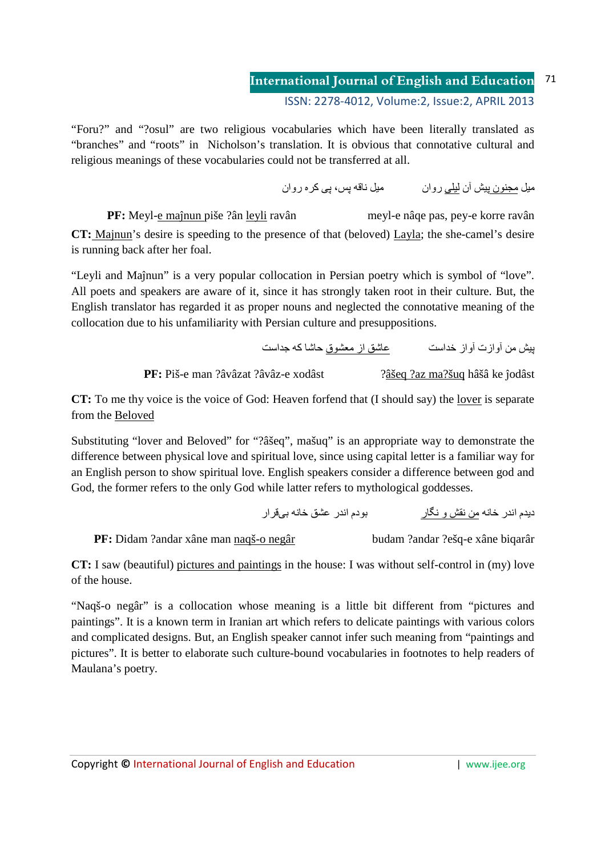"Foru?" and "?osul" are two religious vocabularies which have been literally translated as "branches" and "roots" in Nicholson's translation. It is obvious that connotative cultural and religious meanings of these vocabularies could not be transferred at all.

ميل مجنون بيش آن ليلي روان مسمع ميل ناقه پس، پي كره روان

meyl-e nâqe pas, pey-e korre ravân PF: Meyl-e maînun piše ?ân leyli ravân  $CT:$  Majnun's desire is speeding to the presence of that (beloved) Layla; the she-camel's desire is running back after her foal.

"Leyli and Maînun" is a very popular collocation in Persian poetry which is symbol of "love". All poets and speakers are aware of it, since it has strongly taken root in their culture. But, the English translator has regarded it as proper nouns and neglected the connotative meaning of the collocation due to his unfamiliarity with Persian culture and presuppositions.

بِيش من أوازت أواز خداست مستحسنة عاشق از معشوق حاشا كه جداست

PF: Piš-e man ?âvâzat ?âvâz-e xodâst ?âšeq ?az ma?šuq hâšâ ke îodâst

**CT:** To me thy voice is the voice of God: Heaven forfend that (I should say) the lover is separate from the Beloved

Substituting "lover and Beloved" for "?âšeq", mašuq" is an appropriate way to demonstrate the difference between physical love and spiritual love, since using capital letter is a familiar way for an English person to show spiritual love. English speakers consider a difference between god and God, the former refers to the only God while latter refers to mythological goddesses.

> بودم اندر عشق خانه بيقرار ديدم اندر خانه من نقش و نگار

PF: Didam ?andar xâne man naqš-o negâr

budam ?andar ?ešq-e xâne biqarâr

CT: I saw (beautiful) pictures and paintings in the house: I was without self-control in (my) love of the house.

"Naqš-o negâr" is a collocation whose meaning is a little bit different from "pictures and paintings". It is a known term in Iranian art which refers to delicate paintings with various colors and complicated designs. But, an English speaker cannot infer such meaning from "paintings and pictures". It is better to elaborate such culture-bound vocabularies in footnotes to help readers of Maulana's poetry.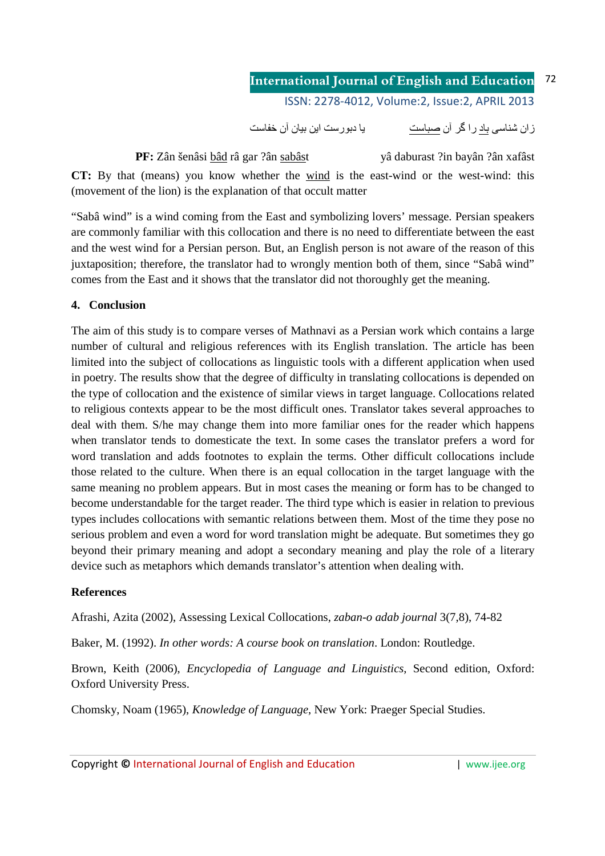ز ان شناسی باد ر ا گر آن صباست میسانی دیور ست این بیان آن خفاست

**PF:** Zân šenâsi bâd râ gar ?ân sabâst yâ daburast ?in bayân ?ân xafâst **CT:** By that (means) you know whether the wind is the east-wind or the west-wind: this (movement of the lion) is the explanation of that occult matter

"Sabâ wind" is a wind coming from the East and symbolizing lovers' message. Persian speakers are commonly familiar with this collocation and there is no need to differentiate between the east and the west wind for a Persian person. But, an English person is not aware of the reason of this juxtaposition; therefore, the translator had to wrongly mention both of them, since "Sabâ wind" comes from the East and it shows that the translator did not thoroughly get the meaning.

# **4. Conclusion**

The aim of this study is to compare verses of Mathnavi as a Persian work which contains a large number of cultural and religious references with its English translation. The article has been limited into the subject of collocations as linguistic tools with a different application when used in poetry. The results show that the degree of difficulty in translating collocations is depended on the type of collocation and the existence of similar views in target language. Collocations related to religious contexts appear to be the most difficult ones. Translator takes several approaches to deal with them. S/he may change them into more familiar ones for the reader which happens when translator tends to domesticate the text. In some cases the translator prefers a word for word translation and adds footnotes to explain the terms. Other difficult collocations include those related to the culture. When there is an equal collocation in the target language with the same meaning no problem appears. But in most cases the meaning or form has to be changed to become understandable for the target reader. The third type which is easier in relation to previous types includes collocations with semantic relations between them. Most of the time they pose no serious problem and even a word for word translation might be adequate. But sometimes they go beyond their primary meaning and adopt a secondary meaning and play the role of a literary device such as metaphors which demands translator's attention when dealing with.

# **References**

Afrashi, Azita (2002), Assessing Lexical Collocations, *zaban-o adab journal* 3(7,8), 74-82

Baker, M. (1992). *In other words: A course book on translation*. London: Routledge.

Brown, Keith (2006), *Encyclopedia of Language and Linguistics*, Second edition, Oxford: Oxford University Press.

Chomsky, Noam (1965), *Knowledge of Language*, New York: Praeger Special Studies.